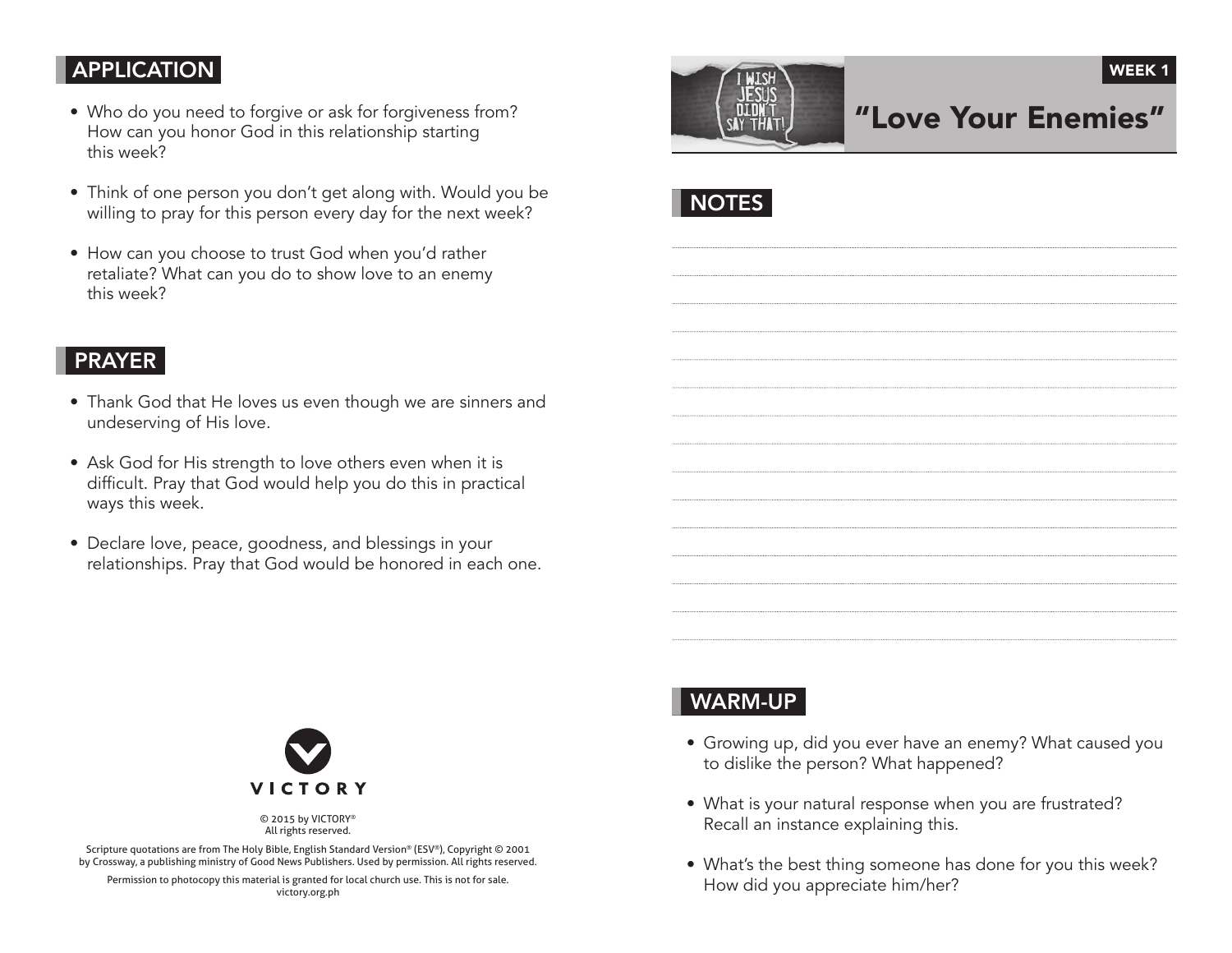### **APPLICATION**

- Who do you need to forgive or ask for forgiveness from? How can you honor God in this relationship starting this week?
- Think of one person you don't get along with. Would you be willing to pray for this person every day for the next week?
- How can you choose to trust God when you'd rather retaliate? What can you do to show love to an enemy this week?

# "Love Your Enemies"

WEEK<sub>1</sub>

**NOTES** 

## PRAYER

- Thank God that He loves us even though we are sinners and undeserving of His love.
- Ask God for His strength to love others even when it is difficult. Pray that God would help you do this in practical ways this week.
- Declare love, peace, goodness, and blessings in your relationships. Pray that God would be honored in each one.



© 2015 by VICTORY® All rights reserved.

Scripture quotations are from The Holy Bible, English Standard Version® (ESV®), Copyright © 2001 by Crossway, a publishing ministry of Good News Publishers. Used by permission. All rights reserved.

Permission to photocopy this material is granted for local church use. This is not for sale. victory.org.ph

# WARM-UP

- Growing up, did you ever have an enemy? What caused you to dislike the person? What happened?
- What is your natural response when you are frustrated? Recall an instance explaining this.
- What's the best thing someone has done for you this week? How did you appreciate him/her?